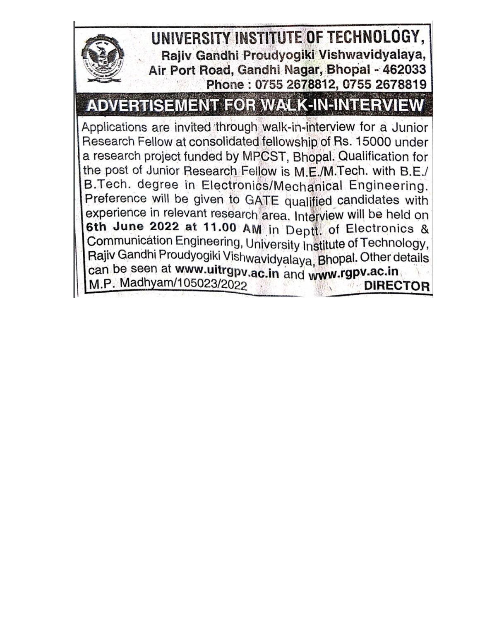